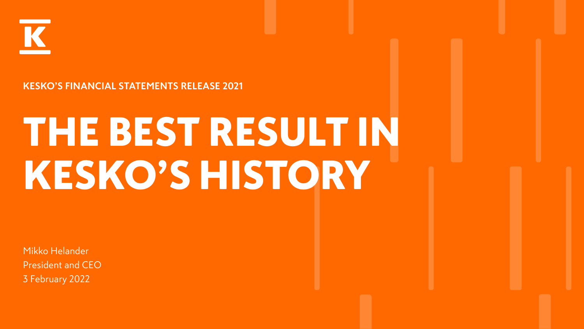

#### **KESKO'S FINANCIAL STATEMENTS RELEASE 2021**

# THE BEST RESULT IN KESKO'S HISTORY

Mikko Helander President and CEO 3 February 2022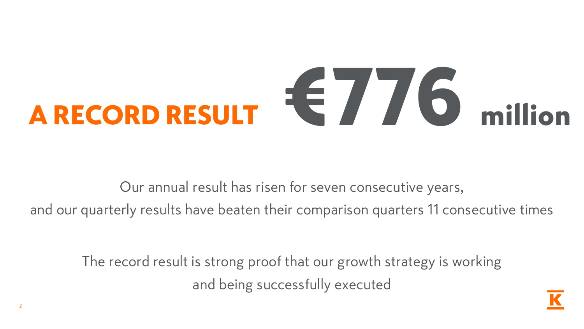# A RECORD RESULT  $\epsilon$  / 6 million

Our annual result has risen for seven consecutive years, and our quarterly results have beaten their comparison quarters 11 consecutive times

The record result is strong proof that our growth strategy is working and being successfully executed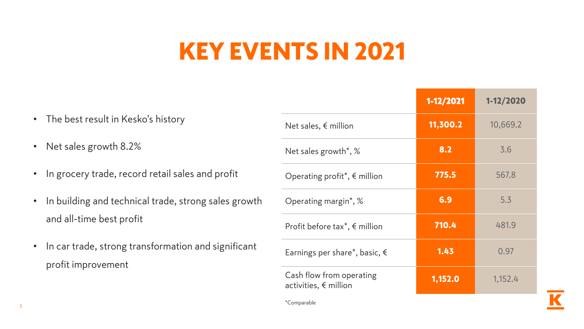## KEY EVENTS IN 2021

|                                                                                               |                                                          | 1-12/2021 | 1-12/2020 |
|-----------------------------------------------------------------------------------------------|----------------------------------------------------------|-----------|-----------|
| • The best result in Kesko's history                                                          | Net sales, $\notin$ million                              | 11,300.2  | 10,669.2  |
| Net sales growth 8.2%<br>$\bullet$                                                            | Net sales growth*, %                                     | 8.2       | 3.6       |
| • In grocery trade, record retail sales and profit                                            | Operating profit <sup>*</sup> , $\epsilon$ million       | 775.5     | 567.8     |
| In building and technical trade, strong sales growth<br>$\bullet$<br>and all-time best profit | Operating margin*, %                                     | 6.9       | 5.3       |
|                                                                                               | Profit before tax <sup>*</sup> , $\epsilon$ million      | 710.4     | 481.9     |
| • In car trade, strong transformation and significant<br>profit improvement                   | Earnings per share*, basic, $\epsilon$                   | 1.43      | 0.97      |
|                                                                                               | Cash flow from operating<br>activities, $\notin$ million | 1,152.0   | 1,152.4   |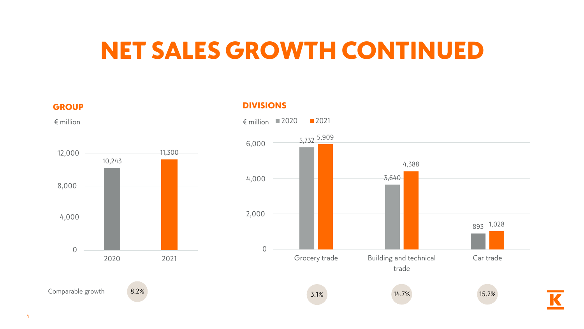#### NET SALES GROWTH CONTINUED



#### DIVISIONS

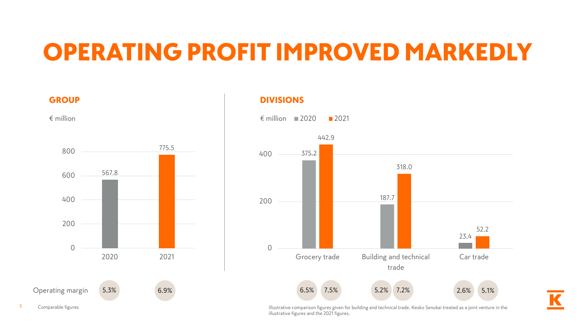## OPERATING PROFIT IMPROVED MARKEDLY

DIVISIONS

567.8 775.5 0 200 400 600 800 2020 2021 **GROUP**  $\epsilon$  million  $\epsilon$  million



5 Comparable figures **Illustrative comparison figures given for building and technical trade. Kesko Senukai treated as a joint venture in the** illustrative figures and the 2021 figures.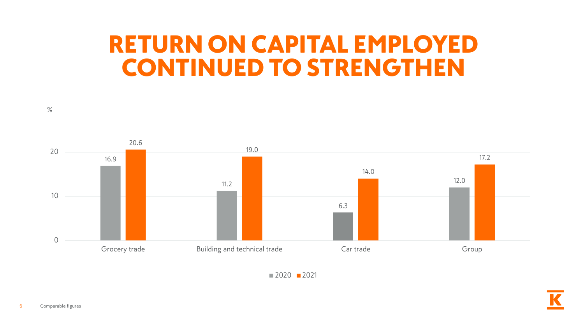#### RETURN ON CAPITAL EMPLOYED CONTINUED TO STRENGTHEN



 $2020$  2021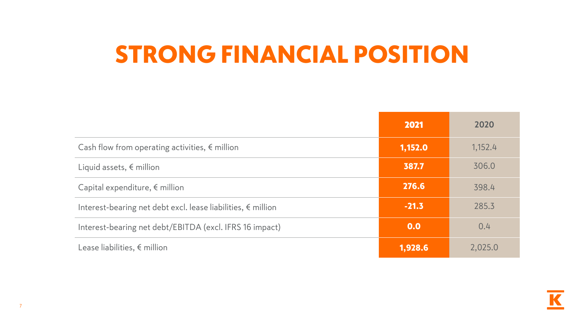## STRONG FINANCIAL POSITION

|                                                                       | 2021    | 2020    |
|-----------------------------------------------------------------------|---------|---------|
| Cash flow from operating activities, $\epsilon$ million               | 1,152.0 | 1,152.4 |
| Liquid assets, $\epsilon$ million                                     | 387.7   | 306.0   |
| Capital expenditure, $\epsilon$ million                               | 276.6   | 398.4   |
| Interest-bearing net debt excl. lease liabilities, $\epsilon$ million | $-21.3$ | 285.3   |
| Interest-bearing net debt/EBITDA (excl. IFRS 16 impact)               | 0.0     | 0.4     |
| Lease liabilities, $\epsilon$ million                                 | 1,928.6 | 2,025.0 |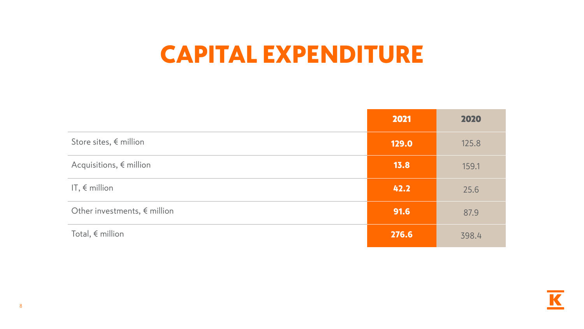#### CAPITAL EXPENDITURE

|                                       | 2021  | 2020  |
|---------------------------------------|-------|-------|
| Store sites, $\epsilon$ million       | 129.0 | 125.8 |
| Acquisitions, $\notin$ million        | 13.8  | 159.1 |
| IT, $\epsilon$ million                | 42.2  | 25.6  |
| Other investments, $\epsilon$ million | 91.6  | 87.9  |
| Total, $\epsilon$ million             | 276.6 | 398.4 |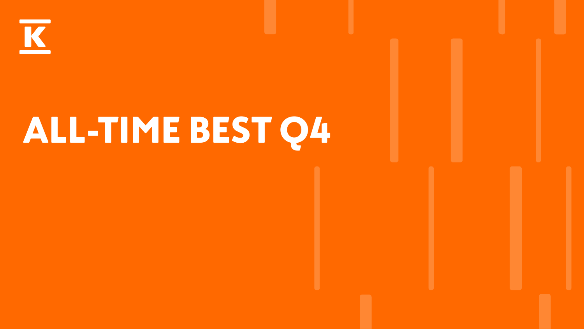

# ALL-TIME BEST Q4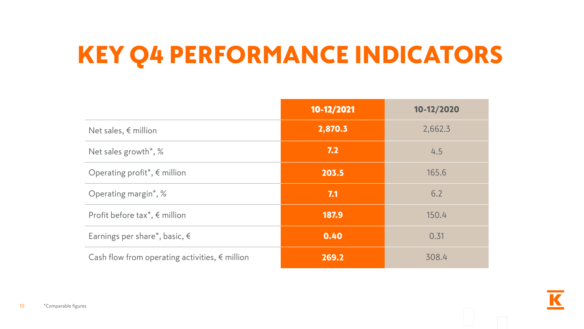## KEY Q4 PERFORMANCE INDICATORS

|                                                         | 10-12/2021 | 10-12/2020 |
|---------------------------------------------------------|------------|------------|
| Net sales, $\notin$ million                             | 2,870.3    | 2,662.3    |
| Net sales growth*, %                                    | 7.2        | 4.5        |
| Operating profit*, $\epsilon$ million                   | 203.5      | 165.6      |
| Operating margin*, %                                    | 7.1        | 6.2        |
| Profit before tax <sup>*</sup> , $\epsilon$ million     | 187.9      | 150.4      |
| Earnings per share*, basic, $\epsilon$                  | 0.40       | 0.31       |
| Cash flow from operating activities, $\epsilon$ million | 269.2      | 308.4      |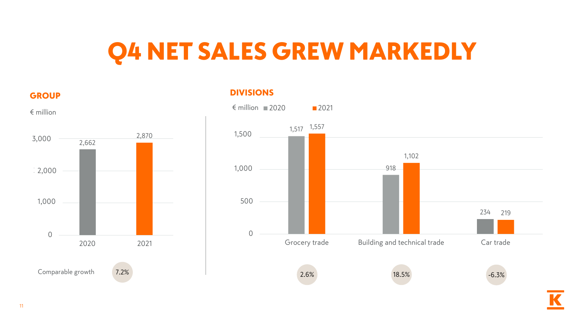## Q4 NET SALES GREW MARKEDLY

**GROUP** 



#### DIVISIONS

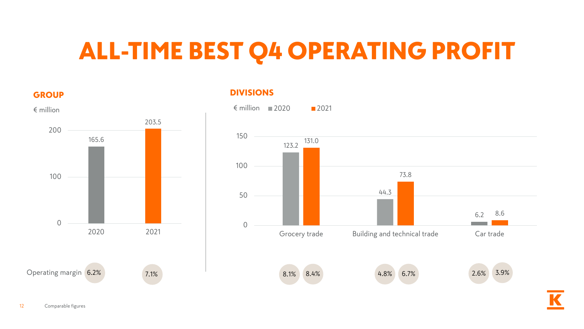## ALL-TIME BEST Q4 OPERATING PROFIT

#### **GROUP**



#### DIVISIONS

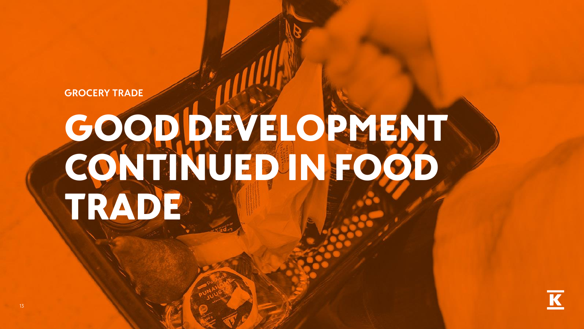**GROCERY TRADE**

# GOOD DEVELOPMENT CONTINUED IN FOOD TRADE

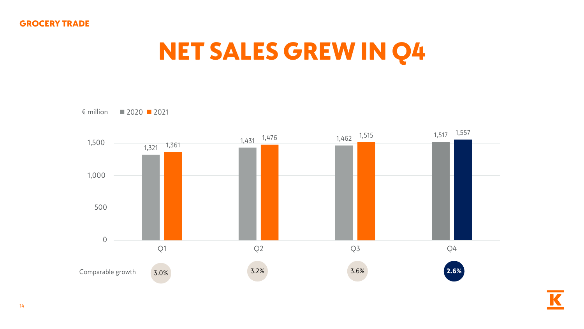## NET SALES GREW IN Q4



14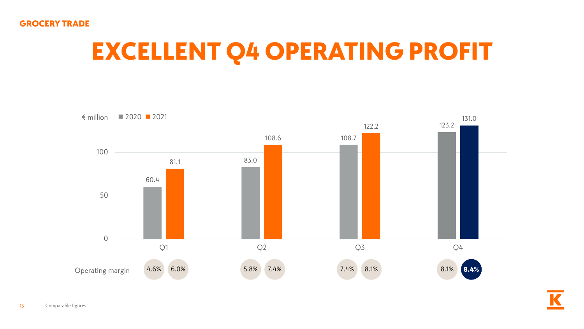#### GROCERY TRADE

## EXCELLENT Q4 OPERATING PROFIT

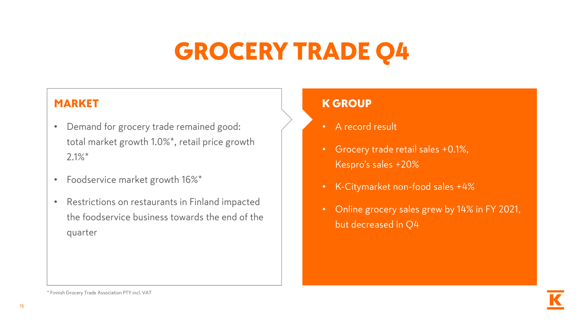## GROCERY TRADE Q4

#### MARKET

- Demand for grocery trade remained good: total market growth 1.0%\*, retail price growth 2.1%\*
- Foodservice market growth 16%\*
- Restrictions on restaurants in Finland impacted the foodservice business towards the end of the quarter

#### K GROUP

- A record result
- Grocery trade retail sales +0.1%, Kespro's sales +20%
- K-Citymarket non-food sales +4%
- Online grocery sales grew by 14% in FY 2021, but decreased in Q4

<sup>\*</sup> Finnish Grocery Trade Association PTY incl. VAT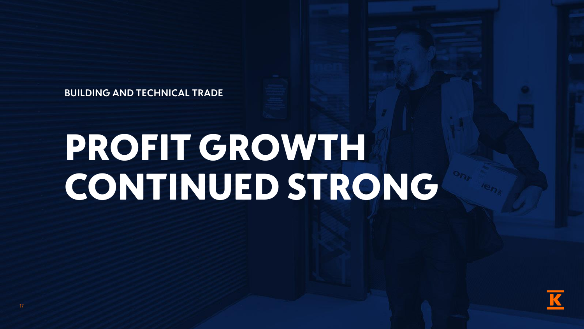**BUILDING AND TECHNICAL TRADE**

# PROFIT GROWTH CONTINUED STRONG

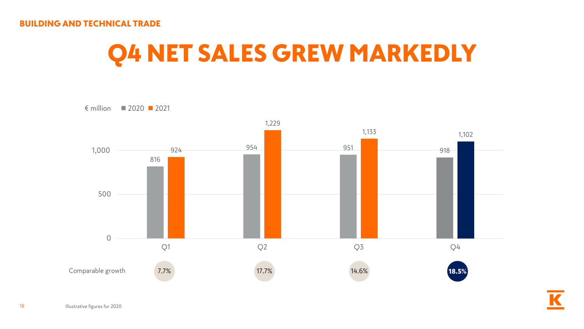#### BUILDING AND TECHNICAL TRADE

## Q4 NET SALES GREW MARKEDLY



18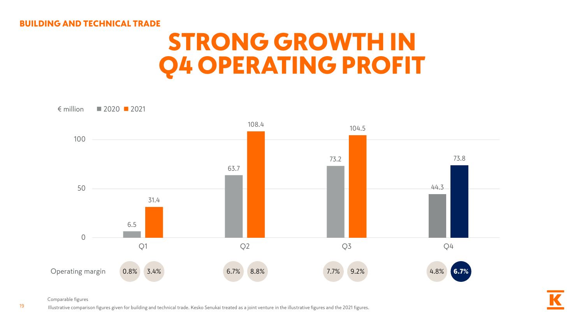#### BUILDING AND TECHNICAL TRADE

#### STRONG GROWTH IN Q4 OPERATING PROFIT



Comparable figures

19

Illustrative comparison figures given for building and technical trade. Kesko Senukai treated as a joint venture in the illustrative figures and the 2021 figures.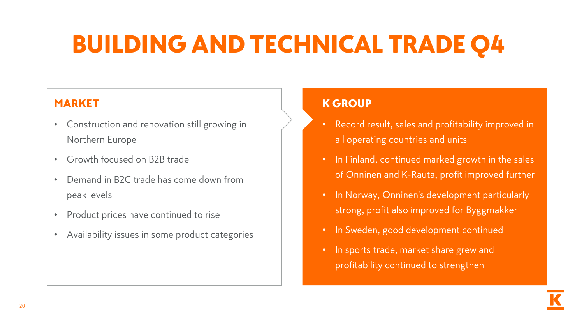## BUILDING AND TECHNICAL TRADE Q4

#### MARKET

- Construction and renovation still growing in Northern Europe
- Growth focused on B2B trade
- Demand in B2C trade has come down from peak levels
- Product prices have continued to rise
- Availability issues in some product categories

#### K GROUP

- Record result, sales and profitability improved in all operating countries and units
- In Finland, continued marked growth in the sales of Onninen and K-Rauta, profit improved further
- In Norway, Onninen's development particularly strong, profit also improved for Byggmakker
- In Sweden, good development continued
- In sports trade, market share grew and profitability continued to strengthen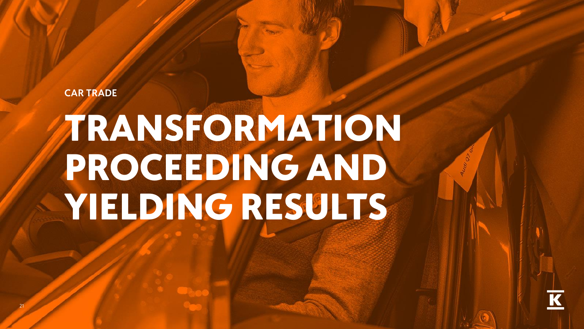**CAR TRADE** 

21

# TRANSFORMATION PROCEEDING AND YIELDING RESULTS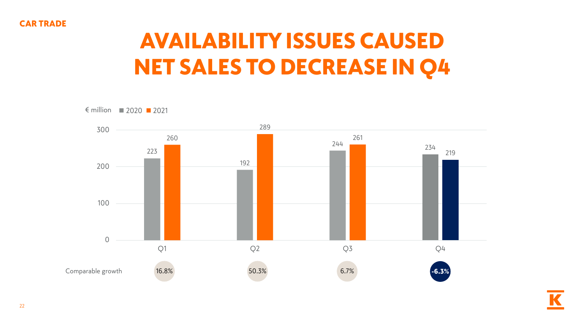## AVAILABILITY ISSUES CAUSED NET SALES TO DECREASE IN Q4

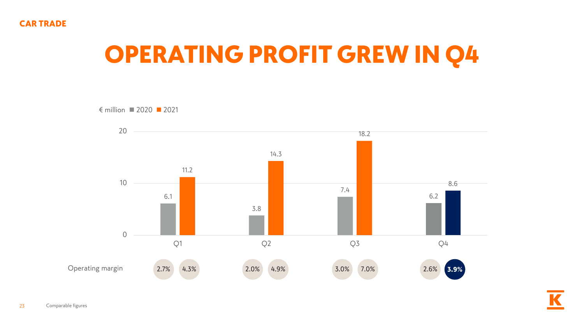## OPERATING PROFIT GREW IN Q4

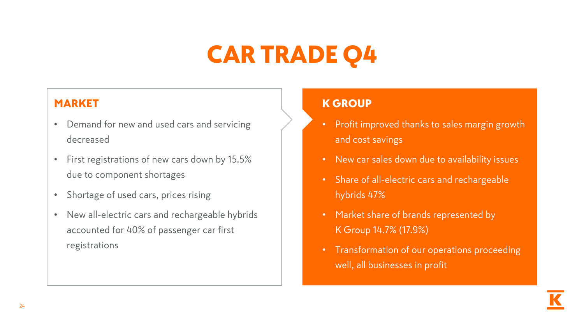## CAR TRADE Q4

#### MARKET

- Demand for new and used cars and servicing decreased
- First registrations of new cars down by 15.5% due to component shortages
- Shortage of used cars, prices rising
- New all-electric cars and rechargeable hybrids accounted for 40% of passenger car first registrations

#### K GROUP

- Profit improved thanks to sales margin growth and cost savings
- New car sales down due to availability issues
- Share of all-electric cars and rechargeable hybrids 47%
- Market share of brands represented by K Group 14.7% (17.9%)
- Transformation of our operations proceeding well, all businesses in profit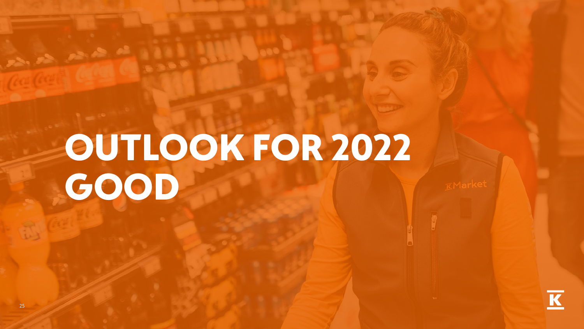# OUTLOOK FOR 2022 GOOD

September 2007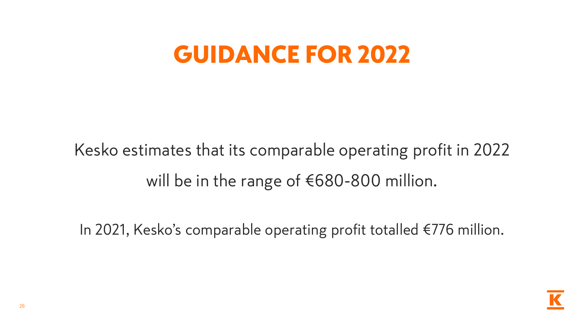#### GUIDANCE FOR 2022

## Kesko estimates that its comparable operating profit in 2022 will be in the range of €680-800 million.

In 2021, Kesko's comparable operating profit totalled €776 million.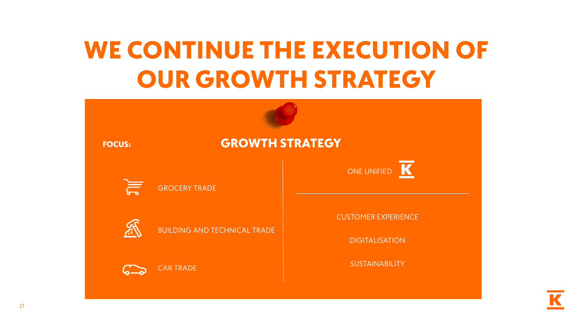## WE CONTINUE THE EXECUTION OF OUR GROWTH STRATEGY

| <b>GROWTH STRATEGY</b><br><b>FOCUS:</b> |                                     |                                                     |  |
|-----------------------------------------|-------------------------------------|-----------------------------------------------------|--|
|                                         | <b>GROCERY TRADE</b>                | B<br>ONE UNIFIED                                    |  |
| <b>ASC</b>                              | <b>BUILDING AND TECHNICAL TRADE</b> | <b>CUSTOMER EXPERIENCE</b><br><b>DIGITALISATION</b> |  |
|                                         | <b>CAR TRADE</b>                    | SUSTAINABILITY                                      |  |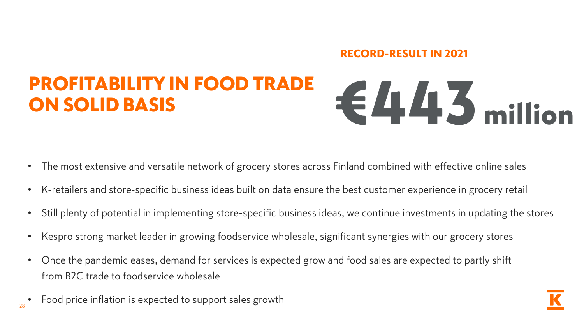#### RECORD-RESULT IN 2021

#### PROFITABILITY IN FOOD TRADE ON SOLID BASIS **E445** million

- The most extensive and versatile network of grocery stores across Finland combined with effective online sales
- K-retailers and store-specific business ideas built on data ensure the best customer experience in grocery retail
- Still plenty of potential in implementing store-specific business ideas, we continue investments in updating the stores
- Kespro strong market leader in growing foodservice wholesale, significant synergies with our grocery stores
- Once the pandemic eases, demand for services is expected grow and food sales are expected to partly shift from B2C trade to foodservice wholesale
- Food price inflation is expected to support sales growth

28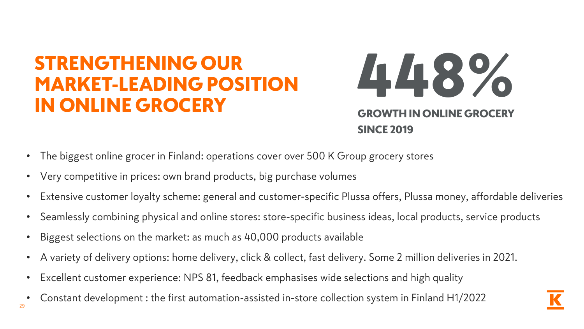#### STRENGTHENING OUR MARKET-LEADING POSITION IN ONLINE GROCERY

448%

H IN ONLINE GRO SINCE 2019

- The biggest online grocer in Finland: operations cover over 500 K Group grocery stores
- Very competitive in prices: own brand products, big purchase volumes
- Extensive customer loyalty scheme: general and customer-specific Plussa offers, Plussa money, affordable deliveries
- Seamlessly combining physical and online stores: store-specific business ideas, local products, service products
- Biggest selections on the market: as much as 40,000 products available
- A variety of delivery options: home delivery, click & collect, fast delivery. Some 2 million deliveries in 2021.
- Excellent customer experience: NPS 81, feedback emphasises wide selections and high quality
- 29 • Constant development : the first automation-assisted in-store collection system in Finland H1/2022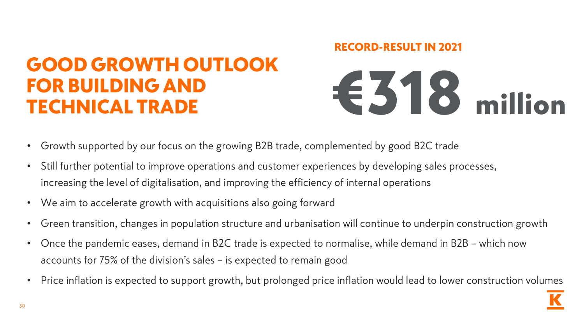#### GOOD GROWTH OUTLOOK FOR BUILDING AND FOR BUILDING AND<br>TECHNICAL TRADE <del>€</del>318 million

# RECORD-RESULT IN 2021

- Growth supported by our focus on the growing B2B trade, complemented by good B2C trade
- Still further potential to improve operations and customer experiences by developing sales processes, increasing the level of digitalisation, and improving the efficiency of internal operations
- We aim to accelerate growth with acquisitions also going forward
- Green transition, changes in population structure and urbanisation will continue to underpin construction growth
- Once the pandemic eases, demand in B2C trade is expected to normalise, while demand in B2B which now accounts for 75% of the division's sales – is expected to remain good
- Price inflation is expected to support growth, but prolonged price inflation would lead to lower construction volumes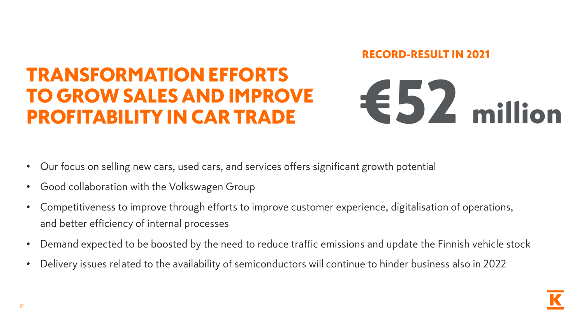#### RECORD-RESULT IN 2021

#### TRANSFORMATION EFFORTS TO GROW SALES AND IMPROVE TO GROW SALES AND IMPROVE <del>€</del>52 million



- Our focus on selling new cars, used cars, and services offers significant growth potential
- Good collaboration with the Volkswagen Group
- Competitiveness to improve through efforts to improve customer experience, digitalisation of operations, and better efficiency of internal processes
- Demand expected to be boosted by the need to reduce traffic emissions and update the Finnish vehicle stock
- Delivery issues related to the availability of semiconductors will continue to hinder business also in 2022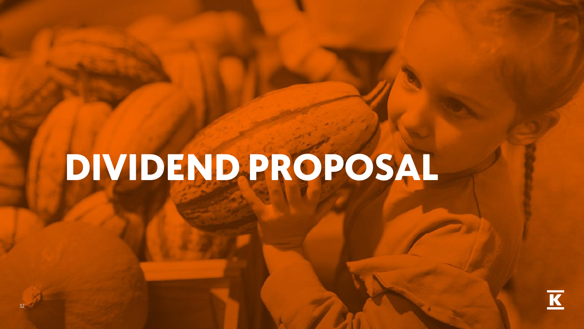# DIVIDEND PROPOSAL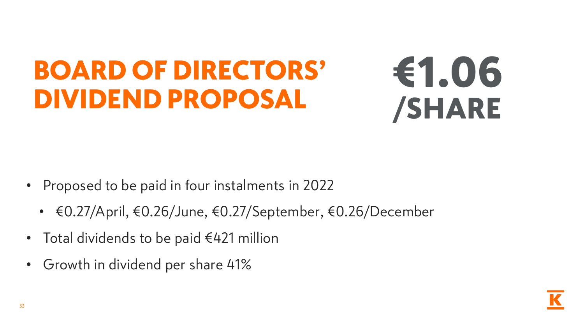## BOARD OF DIRECTORS' DIVIDEND PROPOSAL

## €1.06 /SHARE

- Proposed to be paid in four instalments in 2022
	- €0.27/April, €0.26/June, €0.27/September, €0.26/December
- Total dividends to be paid €421 million
- Growth in dividend per share 41%